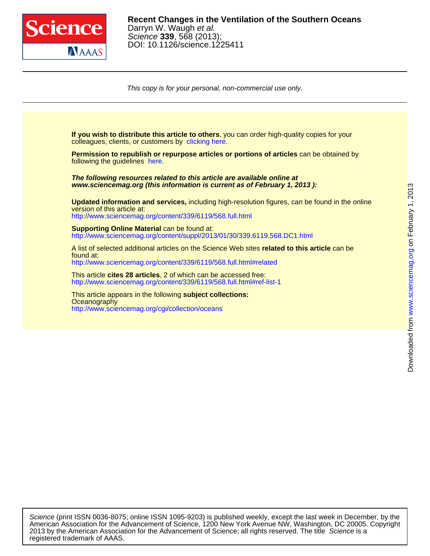

This copy is for your personal, non-commercial use only.

colleagues, clients, or customers by [clicking here.](http://www.sciencemag.org/about/permissions.dtl) **If you wish to distribute this article to others**, you can order high-quality copies for your following the guidelines [here.](http://www.sciencemag.org/about/permissions.dtl) **Permission to republish or repurpose articles or portions of articles** can be obtained by **www.sciencemag.org (this information is current as of February 1, 2013 ): The following resources related to this article are available online at** <http://www.sciencemag.org/content/339/6119/568.full.html> version of this article at: **Updated information and services,** including high-resolution figures, can be found in the online http://www.sciencemag.org/content/suppl/2013/01/30/339.6119.568.DC1.html **Supporting Online Material can be found at:** <http://www.sciencemag.org/content/339/6119/568.full.html#related> found at: A list of selected additional articles on the Science Web sites **related to this article** can be <http://www.sciencemag.org/content/339/6119/568.full.html#ref-list-1> This article **cites 28 articles**, 2 of which can be accessed free: <http://www.sciencemag.org/cgi/collection/oceans> **Oceanography** This article appears in the following **subject collections:**

registered trademark of AAAS. 2013 by the American Association for the Advancement of Science; all rights reserved. The title Science is a American Association for the Advancement of Science, 1200 New York Avenue NW, Washington, DC 20005. Copyright Science (print ISSN 0036-8075; online ISSN 1095-9203) is published weekly, except the last week in December, by the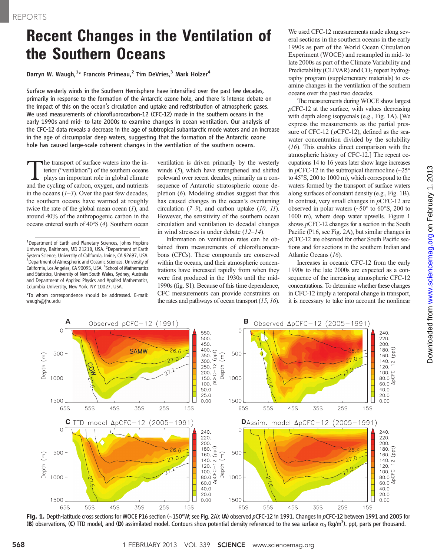## **Recent Changes in the Ventilation of the Southern Oceans**

Darryn W. Waugh,<sup>1</sup>\* Francois Primeau,<sup>2</sup> Tim DeVries,<sup>3</sup> Mark Holzer<sup>4</sup>

Surface westerly winds in the Southern Hemisphere have intensified over the past few decades, primarily in response to the formation of the Antarctic ozone hole, and there is intense debate on the impact of this on the ocean*'*s circulation and uptake and redistribution of atmospheric gases. We used measurements of chlorofluorocarbon-12 (CFC-12) made in the southern oceans in the early 1990s and mid- to late 2000s to examine changes in ocean ventilation. Our analysis of the CFC-12 data reveals a decrease in the age of subtropical subantarctic mode waters and an increase in the age of circumpolar deep waters, suggesting that the formation of the Antarctic ozone hole has caused large-scale coherent changes in the ventilation of the southern oceans.

the transport of surface waters into the interior ("ventilation") of the southern oceans plays an important role in global climate and the cycling of carbon, oxygen, and nutrients in the oceans  $(1-3)$ . Over the past few decades, the southern oceans have warmed at roughly twice the rate of the global mean ocean  $(1)$ , and around 40% of the anthropogenic carbon in the oceans entered south of 40°S (4). Southern ocean

\*To whom correspondence should be addressed. E-mail: waugh@jhu.edu

ventilation is driven primarily by the westerly winds (5), which have strengthened and shifted poleward over recent decades, primarily as a consequence of Antarctic stratospheric ozone depletion (6). Modeling studies suggest that this has caused changes in the ocean's overturning circulation  $(7-9)$ , and carbon uptake  $(10, 11)$ . However, the sensitivity of the southern ocean circulation and ventilation to decadal changes in wind stresses is under debate  $(12-14)$ .

Information on ventilation rates can be obtained from measurements of chlorofluorocarbons (CFCs). These compounds are conserved within the oceans, and their atmospheric concentrations have increased rapidly from when they were first produced in the 1930s until the mid-1990s (fig. S1). Because of this time dependence, CFC measurements can provide constraints on the rates and pathways of ocean transport  $(15, 16)$ . We used CFC-12 measurements made along several sections in the southern oceans in the early 1990s as part of the World Ocean Circulation Experiment (WOCE) and resampled in mid- to late 2000s as part of the Climate Variability and Predictability (CLIVAR) and  $CO<sub>2</sub>$  repeat hydrography program (supplementary materials) to examine changes in the ventilation of the southern oceans over the past two decades.

The measurements during WOCE show largest  $p$ CFC-12 at the surface, with values decreasing with depth along isopycnals (e.g., Fig. 1A). [We express the measurements as the partial pressure of CFC-12 ( $p$ CFC-12), defined as the seawater concentration divided by the solubility (16). This enables direct comparison with the atmospheric history of CFC-12.] The repeat occupations 14 to 16 years later show large increases in  $p$ CFC-12 in the subtropical thermocline ( $\sim$ 25° to 45°S, 200 to 1000 m), which correspond to the waters formed by the transport of surface waters along surfaces of constant density (e.g., Fig. 1B). In contrast, very small changes in  $p$ CFC-12 are observed in polar waters  $(\sim 50^{\circ}$  to  $60^{\circ}$ S, 200 to 1000 m), where deep water upwells. Figure 1 shows pCFC-12 changes for a section in the South Pacific (P16, see Fig. 2A), but similar changes in pCFC-12 are observed for other South Pacific sections and for sections in the southern Indian and Atlantic Oceans (16).

Increases in oceanic CFC-12 from the early 1990s to the late 2000s are expected as a consequence of the increasing atmospheric CFC-12 concentrations. To determine whether these changes in CFC-12 imply a temporal change in transport, it is necessary to take into account the nonlinear



Fig. 1. Depth-latitude cross sections for WOCE P16 section (~150°W; see Fig. 2A): (A) observed pCFC-12 in 1991. Changes in pCFC-12 between 1991 and 2005 for (B) observations, (C) TTD model, and (D) assimilated model. Contours show potential density referenced to the sea surface  $\sigma_0$  (kg/m<sup>3</sup>). ppt, parts per thousand.

<sup>&</sup>lt;sup>1</sup>Department of Earth and Planetary Sciences, Johns Hopkins University, Baltimore, MD 21218, USA. <sup>2</sup> Department of Earth System Science, University of California, Irvine, CA 92697, USA. <sup>3</sup> Department of Atmospheric and Oceanic Sciences, University of California, Los Angeles, CA 90095, USA. <sup>4</sup>School of Mathematics and Statistics, University of New South Wales, Sydney, Australia and Department of Applied Physics and Applied Mathematics, Columbia University, New York, NY 10027, USA.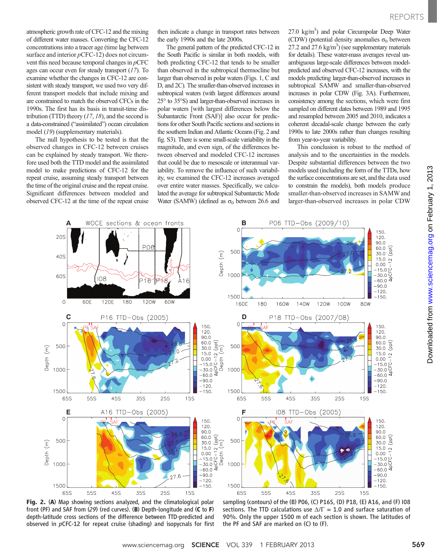atmospheric growth rate of CFC-12 and the mixing of different water masses. Converting the CFC-12 concentrations into a tracer age (time lag between surface and interior  $p$ CFC-12) does not circumvent this need because temporal changes in pCFC ages can occur even for steady transport (17). To examine whether the changes in CFC-12 are consistent with steady transport, we used two very different transport models that include mixing and are constrained to match the observed CFCs in the 1990s. The first has its basis in transit-time distribution (TTD) theory  $(17, 18)$ , and the second is a data-constrained ("assimilated") ocean circulation model (19) (supplementary materials).

The null hypothesis to be tested is that the observed changes in CFC-12 between cruises can be explained by steady transport. We therefore used both the TTD model and the assimilated model to make predictions of CFC-12 for the repeat cruise, assuming steady transport between the time of the original cruise and the repeat cruise. Significant differences between modeled and observed CFC-12 at the time of the repeat cruise

then indicate a change in transport rates between the early 1990s and the late 2000s.

The general pattern of the predicted CFC-12 in the South Pacific is similar in both models, with both predicting CFC-12 that tends to be smaller than observed in the subtropical thermocline but larger than observed in polar waters (Figs. 1, C and D, and 2C). The smaller-than-observed increases in subtropical waters (with largest differences around 25° to 35°S) and larger-than-observed increases in polar waters [with largest differences below the Subantarctic Front (SAF)] also occur for predictions for other South Pacific sections and sections in the southern Indian and Atlantic Oceans (Fig. 2 and fig. S3). There is some small-scale variability in the magnitude, and even sign, of the differences between observed and modeled CFC-12 increases that could be due to mesoscale or interannual variability. To remove the influence of such variability, we examined the CFC-12 increases averaged over entire water masses. Specifically, we calculated the average for subtropical Subantarctic Mode Water (SAMW) (defined as  $\sigma_0$  between 26.6 and

27.0 kg/m<sup>3</sup>) and polar Circumpolar Deep Water (CDW) (potential density anomalies  $\sigma_0$  between  $27.2$  and  $27.6$  kg/m<sup>3</sup>) (see supplementary materials for details). These water-mass averages reveal unambiguous large-scale differences between modelpredicted and observed CFC-12 increases, with the models predicting larger-than-observed increases in subtropical SAMW and smaller-than-observed increases in polar CDW (Fig. 3A). Furthermore, consistency among the sections, which were first sampled on different dates between 1989 and 1995 and resampled between 2005 and 2010, indicates a coherent decadal-scale change between the early 1990s to late 2000s rather than changes resulting from year-to-year variability.

This conclusion is robust to the method of analysis and to the uncertainties in the models. Despite substantial differences between the two models used (including the form of the TTDs, how the surface concentrations are set, and the data used to constrain the models), both models produce smaller-than-observed increases in SAMW and larger-than-observed increases in polar CDW



Fig. 2. (A) Map showing sections analyzed, and the climatological polar front (PF) and SAF from (29) (red curves). (B) Depth-longitude and (C to F) depth-latitude cross sections of the difference between TTD-predicted and observed in pCFC-12 for repeat cruise (shading) and isopycnals for first

sampling (contours) of the (B) P06, (C) P16S, (D) P18, (E) A16, and (F) I08 sections. The TTD calculations use  $\Delta/\Gamma = 1.0$  and surface saturation of 90%. Only the upper 1500 m of each section is shown. The latitudes of the PF and SAF are marked on (C) to (F).

on February 1, 2013